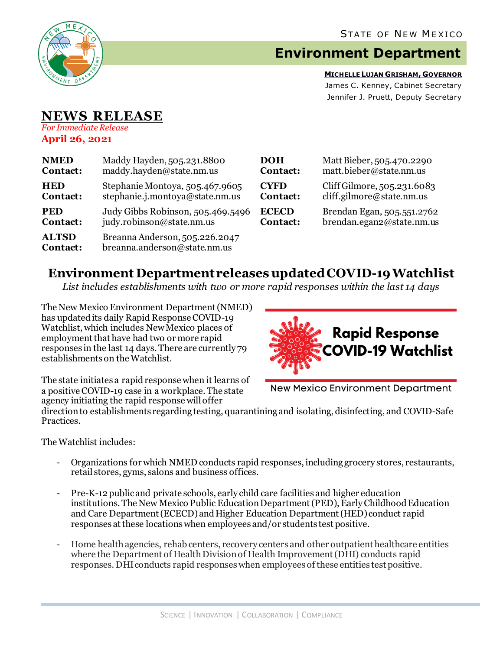

# **Environment Department**

**MICHELLE LUJAN GRISHAM, GOVERNOR** James C. Kenney, Cabinet Secretary Jennifer J. Pruett, Deputy Secretary

### **NEWS RELEASE** *For Immediate Release*

**April 26, 2021**

| <b>NMED</b>              | Maddy Hayden, 505.231.8800                                     | <b>DOH</b>   | Matt Bieber, 505.470.2290   |
|--------------------------|----------------------------------------------------------------|--------------|-----------------------------|
| Contact:                 | maddy.hayden@state.nm.us                                       | Contact:     | matt.bieber@state.nm.us     |
| <b>HED</b>               | Stephanie Montoya, 505.467.9605                                | <b>CYFD</b>  | Cliff Gilmore, 505.231.6083 |
| Contact:                 | stephanie.j.montoya@state.nm.us                                | Contact:     | cliff.gilmore@state.nm.us   |
| <b>PED</b>               | Judy Gibbs Robinson, 505.469.5496                              | <b>ECECD</b> | Brendan Egan, 505.551.2762  |
| Contact:                 | judy.robinson@state.nm.us                                      | Contact:     | brendan.egan2@state.nm.us   |
| <b>ALTSD</b><br>Contact: | Breanna Anderson, 505.226.2047<br>breanna.anderson@state.nm.us |              |                             |

## **Environment Department releases updated COVID-19 Watchlist**

*List includes establishments with two or more rapid responses within the last 14 days*

The New Mexico Environment Department(NMED) has updated its daily Rapid Response COVID-19 Watchlist, which includes New Mexico places of employment that have had two or more rapid responses in the last 14 days. There are currently 79 establishments on the Watchlist.



The state initiates a rapid response when it learns of a positive COVID-19 case in a workplace. The state agency initiating the rapid response will offer

**New Mexico Environment Department** 

direction to establishments regarding testing, quarantining and isolating, disinfecting, and COVID-Safe Practices.

The Watchlist includes:

- Organizations for which NMED conducts rapid responses, including grocery stores, restaurants, retail stores, gyms, salons and business offices.
- Pre-K-12 publicand private schools, early child care facilities and higher education institutions. The New Mexico Public Education Department (PED), Early Childhood Education and Care Department (ECECD) and Higher Education Department (HED) conduct rapid responses at these locations when employees and/or students test positive.
- Home health agencies, rehab centers, recovery centers and other outpatient healthcare entities where the Department of Health Division of Health Improvement (DHI) conducts rapid responses. DHIconducts rapid responses when employees of these entities test positive.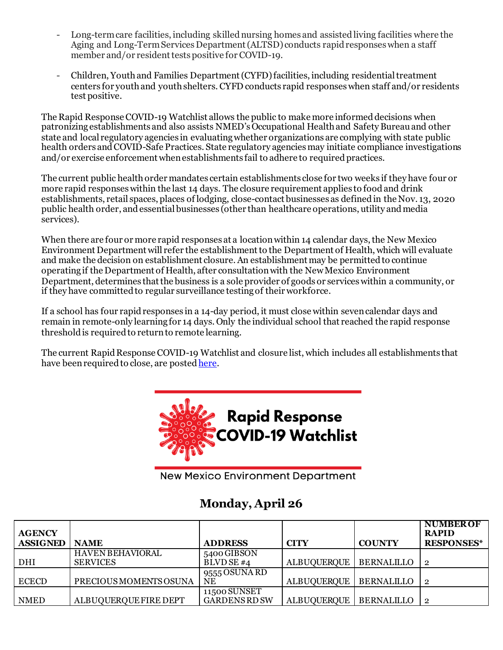- Long-term care facilities, including skilled nursing homes and assisted living facilities where the Aging and Long-Term Services Department (ALTSD) conducts rapid responses when a staff member and/or resident tests positive for COVID-19.
- Children, Youth and Families Department (CYFD)facilities, including residential treatment centers for youth and youth shelters.CYFD conducts rapid responses when staff and/or residents test positive.

The Rapid Response COVID-19 Watchlist allows the public to make more informed decisions when patronizing establishments and also assists NMED's Occupational Health and Safety Bureauand other state and local regulatory agencies in evaluating whether organizations are complying with state public health orders and COVID-Safe Practices. State regulatory agencies may initiate compliance investigations and/or exercise enforcement when establishments fail to adhere to required practices.

The current public health order mandates certain establishments close for two weeks if they have four or more rapid responses within the last 14 days. The closure requirement applies to food and drink establishments, retail spaces, places of lodging, close-contact businesses as defined in the Nov. 13, 2020 public health order, and essential businesses (other than healthcare operations, utility and media services).

When there are four or more rapid responses at a location within 14 calendar days, the New Mexico Environment Department will refer the establishment to the Department of Health, which will evaluate and make the decision on establishment closure. An establishment may be permitted to continue operating if the Department of Health, after consultation with the New Mexico Environment Department, determines that the business is a sole provider of goods or services within a community, or if they have committed to regular surveillance testing of their workforce.

If a school has four rapid responses in a 14-day period, it must close within seven calendar days and remain in remote-only learning for 14 days. Only the individual school that reached the rapid response threshold is required to return to remote learning.

The current Rapid Response COVID-19 Watchlist and closure list, which includes all establishments that have been required to close, are poste[d here.](https://www.env.nm.gov/rapid-response-data/)



**New Mexico Environment Department** 

# **Monday, April 26**

| <b>AGENCY</b><br><b>ASSIGNED</b> | <b>NAME</b>                                | <b>ADDRESS</b>                       | <b>CITY</b>        | <b>COUNTY</b>     | <b>NUMBER OF</b><br><b>RAPID</b><br><b>RESPONSES*</b> |
|----------------------------------|--------------------------------------------|--------------------------------------|--------------------|-------------------|-------------------------------------------------------|
| DHI                              | <b>HAVEN BEHAVIORAL</b><br><b>SERVICES</b> | 5400 GIBSON<br>BLVD SE #4            | <b>ALBUQUERQUE</b> | <b>BERNALILLO</b> |                                                       |
| <b>ECECD</b>                     | PRECIOUS MOMENTS OSUNA                     | $9555$ OSUNA RD<br>NE                | <b>ALBUQUERQUE</b> | BERNALILLO        | - 2                                                   |
| NMED                             | ALBUQUERQUE FIRE DEPT                      | 11500 SUNSET<br><b>GARDENS RD SW</b> | <b>ALBUQUERQUE</b> | BERNALILLO        |                                                       |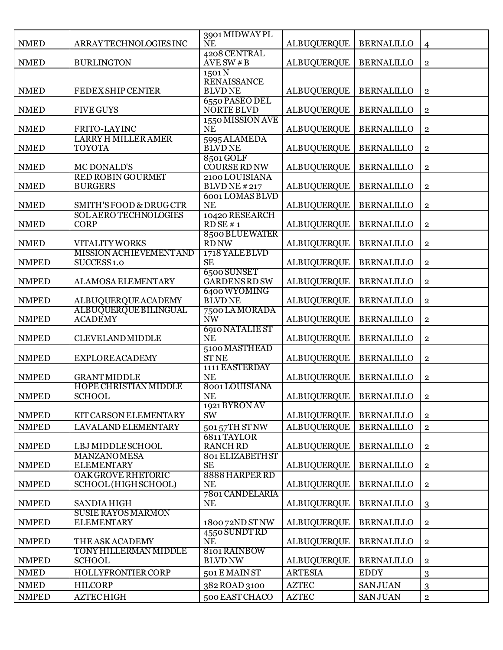| <b>NMED</b>  | ARRAY TECHNOLOGIES INC                                  | 3901 MIDWAY PL<br><b>NE</b>           | <b>ALBUQUERQUE</b>       | <b>BERNALILLO</b> | 4                       |
|--------------|---------------------------------------------------------|---------------------------------------|--------------------------|-------------------|-------------------------|
| <b>NMED</b>  | <b>BURLINGTON</b>                                       | 4208 CENTRAL<br>AVESW #B              | <b>ALBUQUERQUE</b>       | <b>BERNALILLO</b> | $\mathbf 2$             |
|              |                                                         | $1501\overline{N}$                    |                          |                   |                         |
| <b>NMED</b>  | <b>FEDEX SHIP CENTER</b>                                | <b>RENAISSANCE</b><br><b>BLVDNE</b>   | <b>ALBUQUERQUE</b>       | <b>BERNALILLO</b> | $\overline{2}$          |
| <b>NMED</b>  | <b>FIVE GUYS</b>                                        | 6550 PASEO DEL<br><b>NORTE BLVD</b>   | <b>ALBUQUERQUE</b>       | <b>BERNALILLO</b> | $\overline{2}$          |
| <b>NMED</b>  | FRITO-LAYINC                                            | 1550 MISSION AVE<br><b>NE</b>         | <b>ALBUQUERQUE</b>       | <b>BERNALILLO</b> | $\overline{2}$          |
| <b>NMED</b>  | <b>LARRY H MILLER AMER</b><br><b>TOYOTA</b>             | 5995 ALAMEDA<br><b>BLVD NE</b>        | <b>ALBUQUERQUE</b>       | <b>BERNALILLO</b> | $\overline{\mathbf{2}}$ |
| <b>NMED</b>  | MC DONALD'S                                             | 8501 GOLF<br><b>COURSE RD NW</b>      | <b>ALBUQUERQUE</b>       | <b>BERNALILLO</b> | $\overline{2}$          |
| <b>NMED</b>  | <b>RED ROBIN GOURMET</b><br><b>BURGERS</b>              | 2100 LOUISIANA<br><b>BLVD NE #217</b> | <b>ALBUQUERQUE</b>       | <b>BERNALILLO</b> | $\overline{2}$          |
| <b>NMED</b>  | SMITH'S FOOD & DRUGCTR                                  | 6001 LOMAS BLVD<br><b>NE</b>          | <b>ALBUQUERQUE</b>       | <b>BERNALILLO</b> | $\overline{\mathbf{2}}$ |
| <b>NMED</b>  | SOLAERO TECHNOLOGIES<br><b>CORP</b>                     | 10420 RESEARCH<br>RDSE # 1            | <b>ALBUQUERQUE</b>       | <b>BERNALILLO</b> | $\overline{2}$          |
| <b>NMED</b>  | VITALITY WORKS                                          | 8500 BLUEWATER<br><b>RD NW</b>        | <b>ALBUQUERQUE</b>       | <b>BERNALILLO</b> | $\overline{2}$          |
| <b>NMPED</b> | <b>MISSION ACHIEVEMENTAND</b><br>SUCCESS <sub>1.0</sub> | 1718 YALE BLVD<br><b>SE</b>           | <b>ALBUQUERQUE</b>       | <b>BERNALILLO</b> | $\overline{2}$          |
| <b>NMPED</b> | ALAMOSA ELEMENTARY                                      | 6500 SUNSET<br><b>GARDENS RD SW</b>   | <b>ALBUQUERQUE</b>       | <b>BERNALILLO</b> | $\overline{\mathbf{2}}$ |
| <b>NMPED</b> | <b>ALBUQUERQUE ACADEMY</b>                              | 6400 WYOMING<br><b>BLVDNE</b>         | <b>ALBUQUERQUE</b>       | <b>BERNALILLO</b> | $\overline{2}$          |
| <b>NMPED</b> | <b>ALBUQUERQUE BILINGUAL</b><br><b>ACADEMY</b>          | 7500 LA MORADA<br><b>NW</b>           | <b>ALBUQUERQUE</b>       | <b>BERNALILLO</b> | $\overline{2}$          |
| <b>NMPED</b> | <b>CLEVELAND MIDDLE</b>                                 | 6910 NATALIE ST<br><b>NE</b>          | <b>ALBUQUERQUE</b>       | <b>BERNALILLO</b> | $\overline{2}$          |
| <b>NMPED</b> | <b>EXPLORE ACADEMY</b>                                  | 5100 MASTHEAD<br><b>ST NE</b>         | <b>ALBUQUERQUE</b>       | <b>BERNALILLO</b> | $\overline{2}$          |
| <b>NMPED</b> | <b>GRANT MIDDLE</b>                                     | 1111 EASTERDAY<br><b>NE</b>           | <b>ALBUQUERQUE</b>       | <b>BERNALILLO</b> | $\overline{2}$          |
| <b>NMPED</b> | <b>HOPE CHRISTIAN MIDDLE</b><br>SCHOOL                  | 8001 LOUISIANA<br>NE                  | ALBUQUERQUE   BERNALILLO |                   | $\overline{2}$          |
| <b>NMPED</b> | KIT CARSON ELEMENTARY                                   | 1921 BYRON AV<br><b>SW</b>            | <b>ALBUQUERQUE</b>       | <b>BERNALILLO</b> | $\mathbf{2}$            |
| <b>NMPED</b> | LAVALAND ELEMENTARY                                     | 501 57TH ST NW                        | <b>ALBUQUERQUE</b>       | <b>BERNALILLO</b> | $\overline{2}$          |
| <b>NMPED</b> | LBJ MIDDLE SCHOOL                                       | 6811TAYLOR<br><b>RANCH RD</b>         | <b>ALBUQUERQUE</b>       | <b>BERNALILLO</b> | $\overline{\mathbf{2}}$ |
| <b>NMPED</b> | <b>MANZANOMESA</b><br><b>ELEMENTARY</b>                 | 801 ELIZABETH ST<br><b>SE</b>         | <b>ALBUQUERQUE</b>       | <b>BERNALILLO</b> | $\overline{2}$          |
| <b>NMPED</b> | <b>OAK GROVE RHETORIC</b><br>SCHOOL (HIGH SCHOOL)       | 8888 HARPER RD<br><b>NE</b>           | <b>ALBUQUERQUE</b>       | <b>BERNALILLO</b> | $\overline{2}$          |
| <b>NMPED</b> | <b>SANDIA HIGH</b>                                      | 7801 CANDELARIA<br><b>NE</b>          | <b>ALBUQUERQUE</b>       | <b>BERNALILLO</b> | 3                       |
| <b>NMPED</b> | <b>SUSIE RAYOS MARMON</b><br><b>ELEMENTARY</b>          | 180072ND ST NW                        | <b>ALBUQUERQUE</b>       | <b>BERNALILLO</b> | $\overline{\mathbf{2}}$ |
| <b>NMPED</b> | THE ASK ACADEMY                                         | 4550 SUNDTRD<br><b>NE</b>             | <b>ALBUQUERQUE</b>       | <b>BERNALILLO</b> | $\overline{2}$          |
| <b>NMPED</b> | TONY HILLERMAN MIDDLE<br><b>SCHOOL</b>                  | 8101 RAINBOW<br><b>BLVD NW</b>        | <b>ALBUQUERQUE</b>       | <b>BERNALILLO</b> | $\overline{2}$          |
| <b>NMED</b>  | HOLLYFRONTIER CORP                                      | 501 E MAIN ST                         | <b>ARTESIA</b>           | <b>EDDY</b>       | 3                       |
| <b>NMED</b>  | <b>HILCORP</b>                                          | 382 ROAD 3100                         | <b>AZTEC</b>             | <b>SANJUAN</b>    | 3                       |
| <b>NMPED</b> | <b>AZTECHIGH</b>                                        | 500 EAST CHACO                        | <b>AZTEC</b>             | <b>SAN JUAN</b>   | $\overline{2}$          |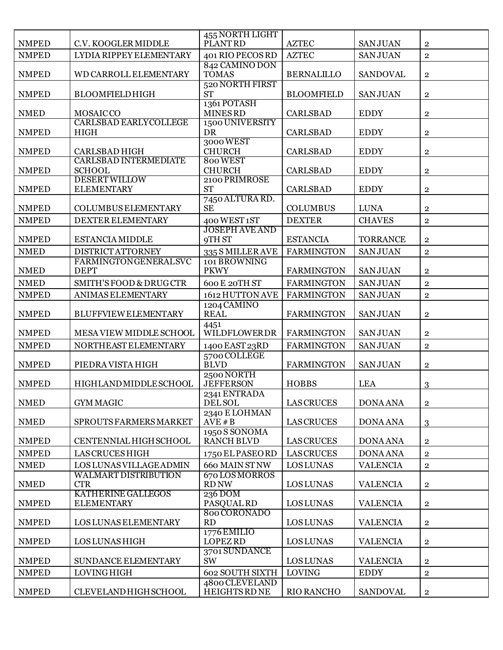|              |                                               | 455 NORTH LIGHT                        |                   |                 |                |
|--------------|-----------------------------------------------|----------------------------------------|-------------------|-----------------|----------------|
| <b>NMPED</b> | C.V. KOOGLER MIDDLE                           | PLANT RD                               | <b>AZTEC</b>      | <b>SANJUAN</b>  | $\overline{2}$ |
| <b>NMPED</b> | LYDIA RIPPEY ELEMENTARY                       | 401 RIO PECOS RD                       | <b>AZTEC</b>      | <b>SANJUAN</b>  | $\overline{2}$ |
| <b>NMPED</b> | WD CARROLL ELEMENTARY                         | 842 CAMINO DON<br><b>TOMAS</b>         | <b>BERNALILLO</b> | <b>SANDOVAL</b> | $\bf 2$        |
| <b>NMPED</b> | <b>BLOOMFIELDHIGH</b>                         | 520 NORTH FIRST<br><b>ST</b>           | <b>BLOOMFIELD</b> | <b>SANJUAN</b>  | $\bf 2$        |
| <b>NMED</b>  | <b>MOSAICCO</b>                               | 1361 POTASH<br><b>MINESRD</b>          | <b>CARLSBAD</b>   | <b>EDDY</b>     | $\overline{2}$ |
| <b>NMPED</b> | <b>CARLSBAD EARLYCOLLEGE</b><br><b>HIGH</b>   | 1500 UNIVERSITY<br><b>DR</b>           | <b>CARLSBAD</b>   | <b>EDDY</b>     | $\mathbf{2}$   |
| <b>NMPED</b> | <b>CARLSBAD HIGH</b>                          | 3000 WEST<br><b>CHURCH</b>             | <b>CARLSBAD</b>   | <b>EDDY</b>     | $\overline{2}$ |
| <b>NMPED</b> | <b>CARLSBAD INTERMEDIATE</b><br><b>SCHOOL</b> | 800 WEST<br><b>CHURCH</b>              | <b>CARLSBAD</b>   | <b>EDDY</b>     | $\mathbf{2}$   |
| <b>NMPED</b> | <b>DESERT WILLOW</b><br><b>ELEMENTARY</b>     | 2100 PRIMROSE<br><b>ST</b>             | <b>CARLSBAD</b>   | <b>EDDY</b>     | $\mathbf 2$    |
| <b>NMPED</b> | <b>COLUMBUS ELEMENTARY</b>                    | 7450 ALTURA RD.<br><b>SE</b>           | <b>COLUMBUS</b>   | <b>LUNA</b>     | $\overline{2}$ |
| <b>NMPED</b> | DEXTER ELEMENTARY                             | 400 WEST 1ST                           | <b>DEXTER</b>     | <b>CHAVES</b>   | $\overline{2}$ |
| <b>NMPED</b> | <b>ESTANCIA MIDDLE</b>                        | <b>JOSEPH AVE AND</b><br>9TH ST        | <b>ESTANCIA</b>   | <b>TORRANCE</b> | $\mathbf{2}$   |
| <b>NMED</b>  | <b>DISTRICT ATTORNEY</b>                      | 335 S MILLERAVE                        | <b>FARMINGTON</b> | <b>SANJUAN</b>  | $\mathbf 2$    |
| <b>NMED</b>  | <b>FARMINGTONGENERALSVC</b><br><b>DEPT</b>    | 101 BROWNING<br><b>PKWY</b>            | <b>FARMINGTON</b> | <b>SANJUAN</b>  | $\overline{2}$ |
| <b>NMED</b>  | SMITH'S FOOD & DRUGCTR                        | 600 E 20TH ST                          | <b>FARMINGTON</b> | <b>SANJUAN</b>  | $\overline{2}$ |
| <b>NMPED</b> | <b>ANIMAS ELEMENTARY</b>                      | 1612 HUTTON AVE                        | <b>FARMINGTON</b> | <b>SANJUAN</b>  | $\overline{2}$ |
| <b>NMPED</b> | <b>BLUFFVIEWELEMENTARY</b>                    | 1204 CAMINO<br><b>REAL</b>             | <b>FARMINGTON</b> | <b>SANJUAN</b>  | $\bf 2$        |
| <b>NMPED</b> | MESA VIEW MIDDLE SCHOOL                       | 4451<br>WILDFLOWERDR                   | <b>FARMINGTON</b> | <b>SANJUAN</b>  | $\overline{2}$ |
| <b>NMPED</b> | NORTHEAST ELEMENTARY                          | 1400 EAST 23RD                         | <b>FARMINGTON</b> | <b>SANJUAN</b>  | $\overline{2}$ |
| <b>NMPED</b> | PIEDRA VISTA HIGH                             | 5700 COLLEGE<br><b>BLVD</b>            | <b>FARMINGTON</b> | <b>SANJUAN</b>  | $\overline{2}$ |
| <b>NMPED</b> | HIGHLANDMIDDLESCHOOL                          | 2500 NORTH<br><b>JEFFERSON</b>         | <b>HOBBS</b>      | <b>LEA</b>      | 3              |
| <b>NMED</b>  | <b>GYM MAGIC</b>                              | 2341 ENTRADA<br><b>DELSOL</b>          | <b>LAS CRUCES</b> | <b>DONA ANA</b> | $\bf 2$        |
| <b>NMED</b>  | SPROUTS FARMERS MARKET                        | 2340 E LOHMAN<br>AVE # B               | <b>LAS CRUCES</b> | <b>DONA ANA</b> | 3              |
| <b>NMPED</b> | <b>CENTENNIAL HIGH SCHOOL</b>                 | 1950 S SONOMA<br><b>RANCH BLVD</b>     | <b>LAS CRUCES</b> | <b>DONA ANA</b> | $\overline{2}$ |
| <b>NMPED</b> | <b>LAS CRUCES HIGH</b>                        | 1750 EL PASEORD                        | <b>LAS CRUCES</b> | <b>DONA ANA</b> | $\overline{2}$ |
| <b>NMED</b>  | LOS LUNAS VILLAGE ADMIN                       | 660 MAIN ST NW                         | <b>LOS LUNAS</b>  | <b>VALENCIA</b> | $\overline{2}$ |
| <b>NMED</b>  | <b>WALMART DISTRIBUTION</b><br><b>CTR</b>     | 670 LOS MORROS<br><b>RD NW</b>         | <b>LOS LUNAS</b>  | <b>VALENCIA</b> | $\overline{2}$ |
| <b>NMPED</b> | KATHERINE GALLEGOS<br><b>ELEMENTARY</b>       | 236 DOM<br>PASQUAL RD                  | <b>LOS LUNAS</b>  | <b>VALENCIA</b> | $\overline{2}$ |
| <b>NMPED</b> | LOS LUNAS ELEMENTARY                          | 800 CORONADO<br>RD                     | <b>LOS LUNAS</b>  | <b>VALENCIA</b> | $\overline{2}$ |
| <b>NMPED</b> | <b>LOS LUNAS HIGH</b>                         | 1776 EMILIO<br><b>LOPEZ RD</b>         | <b>LOS LUNAS</b>  | <b>VALENCIA</b> | $\overline{2}$ |
| <b>NMPED</b> | SUNDANCE ELEMENTARY                           | 3701 SUNDANCE<br>SW                    | <b>LOS LUNAS</b>  | VALENCIA        | $\overline{2}$ |
| <b>NMPED</b> | <b>LOVINGHIGH</b>                             | <b>602 SOUTH SIXTH</b>                 | <b>LOVING</b>     | <b>EDDY</b>     | $\mathbf{2}$   |
| <b>NMPED</b> | CLEVELAND HIGH SCHOOL                         | 4800 CLEVELAND<br><b>HEIGHTS RD NE</b> | <b>RIO RANCHO</b> | <b>SANDOVAL</b> | $\overline{2}$ |